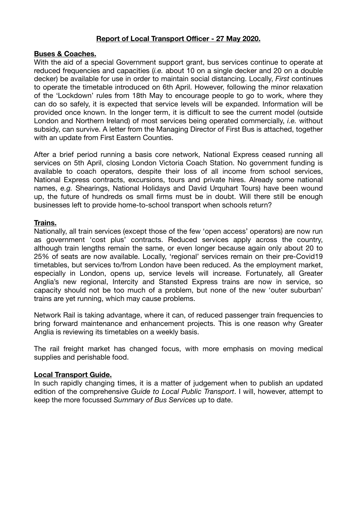# **Report of Local Transport Officer - 27 May 2020.**

# **Buses & Coaches.**

With the aid of a special Government support grant, bus services continue to operate at reduced frequencies and capacities (*i.e.* about 10 on a single decker and 20 on a double decker) be available for use in order to maintain social distancing. Locally, *First* continues to operate the timetable introduced on 6th April. However, following the minor relaxation of the 'Lockdown' rules from 18th May to encourage people to go to work, where they can do so safely, it is expected that service levels will be expanded. Information will be provided once known. In the longer term, it is difficult to see the current model (outside London and Northern Ireland) of most services being operated commercially, *i.e.* without subsidy, can survive. A letter from the Managing Director of First Bus is attached, together with an update from First Eastern Counties.

After a brief period running a basis core network, National Express ceased running all services on 5th April, closing London Victoria Coach Station. No government funding is available to coach operators, despite their loss of all income from school services, National Express contracts, excursions, tours and private hires. Already some national names, *e.g.* Shearings, National Holidays and David Urquhart Tours) have been wound up, the future of hundreds os small firms must be in doubt. Will there still be enough businesses left to provide home-to-school transport when schools return?

#### **Trains.**

Nationally, all train services (except those of the few 'open access' operators) are now run as government 'cost plus' contracts. Reduced services apply across the country, although train lengths remain the same, or even longer because again only about 20 to 25% of seats are now available. Locally, 'regional' services remain on their pre-Covid19 timetables, but services to/from London have been reduced. As the employment market, especially in London, opens up, service levels will increase. Fortunately, all Greater Anglia's new regional, Intercity and Stansted Express trains are now in service, so capacity should not be too much of a problem, but none of the new 'outer suburban' trains are yet running, which may cause problems.

Network Rail is taking advantage, where it can, of reduced passenger train frequencies to bring forward maintenance and enhancement projects. This is one reason why Greater Anglia is reviewing its timetables on a weekly basis.

The rail freight market has changed focus, with more emphasis on moving medical supplies and perishable food.

# **Local Transport Guide.**

In such rapidly changing times, it is a matter of judgement when to publish an updated edition of the comprehensive *Guide to Local Public Transport*. I will, however, attempt to keep the more focussed *Summary of Bus Services* up to date.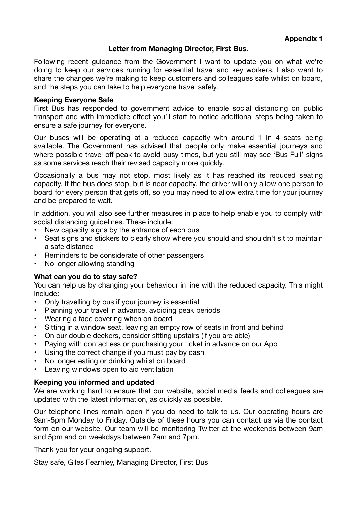# **Appendix 1**

# **Letter from Managing Director, First Bus.**

Following recent guidance from the Government I want to update you on what we're doing to keep our services running for essential travel and key workers. I also want to share the changes we're making to keep customers and colleagues safe whilst on board, and the steps you can take to help everyone travel safely.

#### **Keeping Everyone Safe**

First Bus has responded to government advice to enable social distancing on public transport and with immediate effect you'll start to notice additional steps being taken to ensure a safe journey for everyone.

Our buses will be operating at a reduced capacity with around 1 in 4 seats being available. The Government has advised that people only make essential journeys and where possible travel off peak to avoid busy times, but you still may see 'Bus Full' signs as some services reach their revised capacity more quickly.

Occasionally a bus may not stop, most likely as it has reached its reduced seating capacity. If the bus does stop, but is near capacity, the driver will only allow one person to board for every person that gets off, so you may need to allow extra time for your journey and be prepared to wait.

In addition, you will also see further measures in place to help enable you to comply with social distancing quidelines. These include:

- New capacity signs by the entrance of each bus
- Seat signs and stickers to clearly show where you should and shouldn't sit to maintain a safe distance
- Reminders to be considerate of other passengers
- No longer allowing standing

# **What can you do to stay safe?**

You can help us by changing your behaviour in line with the reduced capacity. This might include:

- Only travelling by bus if your journey is essential
- Planning your travel in advance, avoiding peak periods
- Wearing a face covering when on board
- Sitting in a window seat, leaving an empty row of seats in front and behind
- On our double deckers, consider sitting upstairs (if you are able)
- Paying with contactless or purchasing your ticket in advance on our App
- Using the correct change if you must pay by cash
- No longer eating or drinking whilst on board
- Leaving windows open to aid ventilation

# **Keeping you informed and updated**

We are working hard to ensure that our website, social media feeds and colleagues are updated with the latest information, as quickly as possible.

Our telephone lines remain open if you do need to talk to us. Our operating hours are 9am-5pm Monday to Friday. Outside of these hours you can contact us via the contact form on our website. Our team will be monitoring Twitter at the weekends between 9am and 5pm and on weekdays between 7am and 7pm.

Thank you for your ongoing support.

Stay safe, Giles Fearnley, Managing Director, First Bus